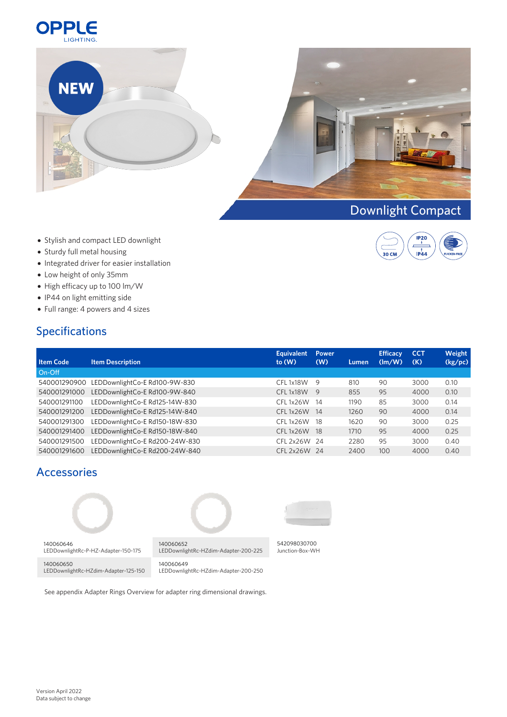



 $IP_120$  $\frac{1}{1}$ 

 $\overline{\overline{\mathbf{co}}\mathbf{C}\mathbf{M}}$ 

- Stylish and compact LED downlight
- Sturdy full metal housing
- $\bullet$  Integrated driver for easier installation
- Low height of only 35mm
- High efficacy up to 100 lm/W
- IP44 on light emitting side
- Full range: 4 powers and 4 sizes

# Specifications

|                  |                                | <b>Equivalent</b>     | <b>Power</b>   |       | <b>Efficacy</b> | <b>CCT</b> | Weight  |
|------------------|--------------------------------|-----------------------|----------------|-------|-----------------|------------|---------|
| <b>Item Code</b> | <b>Item Description</b>        | to(W)                 | (W)            | Lumen | $\frac{1}{2}$   | (K)        | (kg/pc) |
| On-Off           |                                |                       |                |       |                 |            |         |
| 540001290900     | LEDDownlightCo-E Rd100-9W-830  | CFL 1x18W             | - 9            | 810   | 90              | 3000       | 0.10    |
| 540001291000     | LEDDownlightCo-E Rd100-9W-840  | CFL1x18W              | $\overline{9}$ | 855   | 95              | 4000       | 0.10    |
| 540001291100     | LEDDownlightCo-E Rd125-14W-830 | CFL1x26W              | - 14           | 1190  | 85              | 3000       | 0.14    |
| 540001291200     | LEDDownlightCo-E Rd125-14W-840 | CFL <sub>1x26</sub> W | - 14           | 1260  | 90              | 4000       | 0.14    |
| 540001291300     | LEDDownlightCo-E Rd150-18W-830 | CFL1x26W              | - 18           | 1620  | 90              | 3000       | 0.25    |
| 540001291400     | LEDDownlightCo-E Rd150-18W-840 | CFL 1x26W             | - 18           | 1710  | 95              | 4000       | 0.25    |
| 540001291500     | LEDDownlightCo-E Rd200-24W-830 | CFL 2x26W 24          |                | 2280  | 95              | 3000       | 0.40    |
| 540001291600     | LEDDownlightCo-E Rd200-24W-840 | CFL 2x26W 24          |                | 2400  | 100             | 4000       | 0.40    |

# Accessories



See appendix Adapter Rings Overview for adapter ring dimensional drawings.